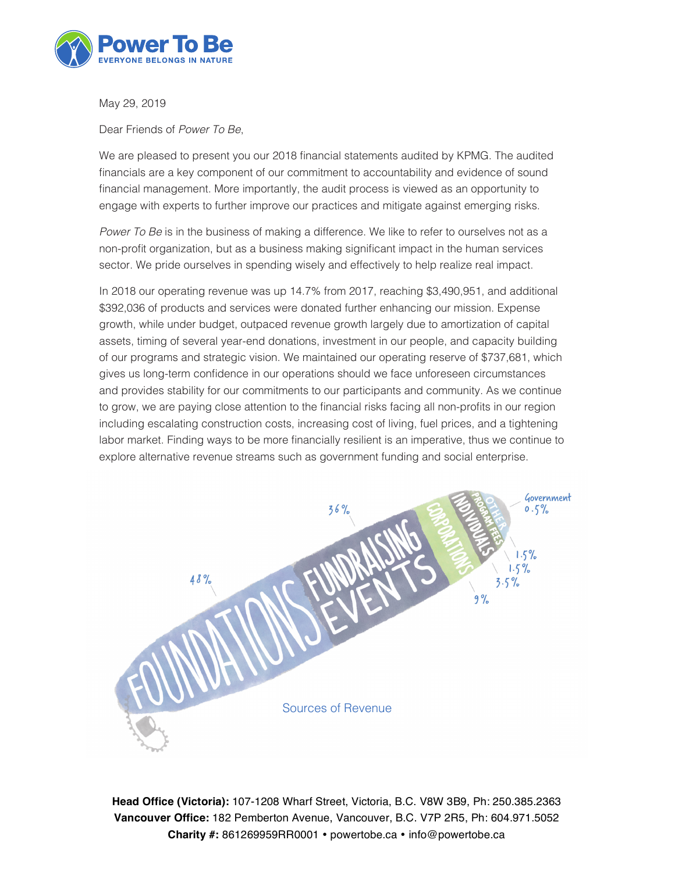

May 29, 2019

Dear Friends of *Power To Be*,

We are pleased to present you our 2018 financial statements audited by KPMG. The audited financials are a key component of our commitment to accountability and evidence of sound financial management. More importantly, the audit process is viewed as an opportunity to engage with experts to further improve our practices and mitigate against emerging risks.

*Power To Be* is in the business of making a difference. We like to refer to ourselves not as a non-profit organization, but as a business making significant impact in the human services sector. We pride ourselves in spending wisely and effectively to help realize real impact.

In 2018 our operating revenue was up 14.7% from 2017, reaching \$3,490,951, and additional \$392,036 of products and services were donated further enhancing our mission. Expense growth, while under budget, outpaced revenue growth largely due to amortization of capital assets, timing of several year-end donations, investment in our people, and capacity building of our programs and strategic vision. We maintained our operating reserve of \$737,681, which gives us long-term confidence in our operations should we face unforeseen circumstances and provides stability for our commitments to our participants and community. As we continue to grow, we are paying close attention to the financial risks facing all non-profits in our region including escalating construction costs, increasing cost of living, fuel prices, and a tightening labor market. Finding ways to be more financially resilient is an imperative, thus we continue to explore alternative revenue streams such as government funding and social enterprise.



**Head Office (Victoria):** 107-1208 Wharf Street, Victoria, B.C. V8W 3B9, Ph: 250.385.2363 **Vancouver Office:** 182 Pemberton Avenue, Vancouver, B.C. V7P 2R5, Ph: 604.971.5052 Charity #: 861269959RR0001 · powertobe.ca · info@powertobe.ca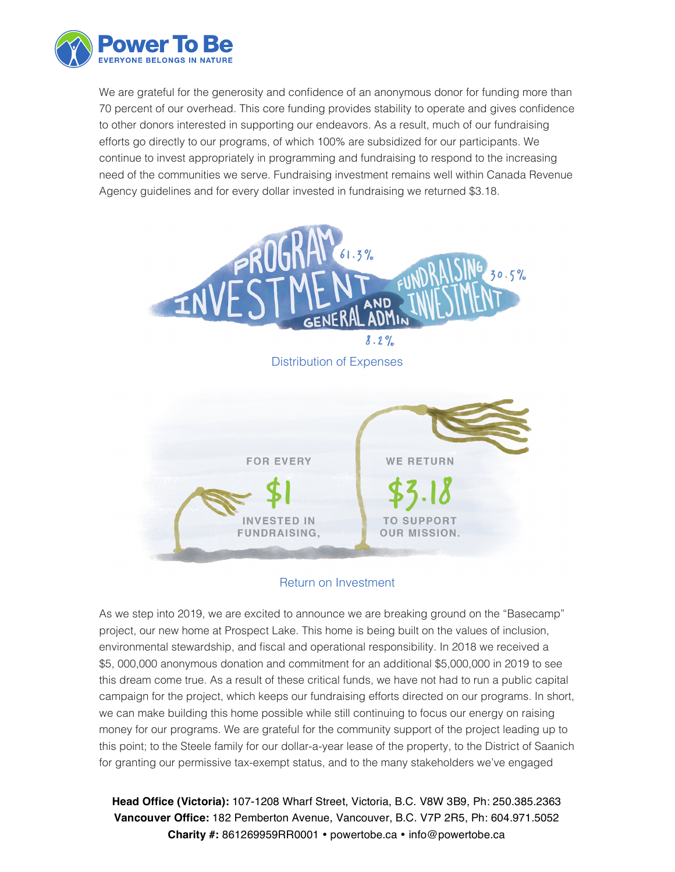

We are grateful for the generosity and confidence of an anonymous donor for funding more than 70 percent of our overhead. This core funding provides stability to operate and gives confidence to other donors interested in supporting our endeavors. As a result, much of our fundraising efforts go directly to our programs, of which 100% are subsidized for our participants. We continue to invest appropriately in programming and fundraising to respond to the increasing need of the communities we serve. Fundraising investment remains well within Canada Revenue Agency guidelines and for every dollar invested in fundraising we returned \$3.18.



### Return on Investment

As we step into 2019, we are excited to announce we are breaking ground on the "Basecamp" project, our new home at Prospect Lake. This home is being built on the values of inclusion, environmental stewardship, and fiscal and operational responsibility. In 2018 we received a \$5, 000,000 anonymous donation and commitment for an additional \$5,000,000 in 2019 to see this dream come true. As a result of these critical funds, we have not had to run a public capital campaign for the project, which keeps our fundraising efforts directed on our programs. In short, we can make building this home possible while still continuing to focus our energy on raising money for our programs. We are grateful for the community support of the project leading up to this point; to the Steele family for our dollar-a-year lease of the property, to the District of Saanich for granting our permissive tax-exempt status, and to the many stakeholders we've engaged

**Head Office (Victoria):** 107-1208 Wharf Street, Victoria, B.C. V8W 3B9, Ph: 250.385.2363 **Vancouver Office:** 182 Pemberton Avenue, Vancouver, B.C. V7P 2R5, Ph: 604.971.5052 Charity #: 861269959RR0001 · powertobe.ca · info@powertobe.ca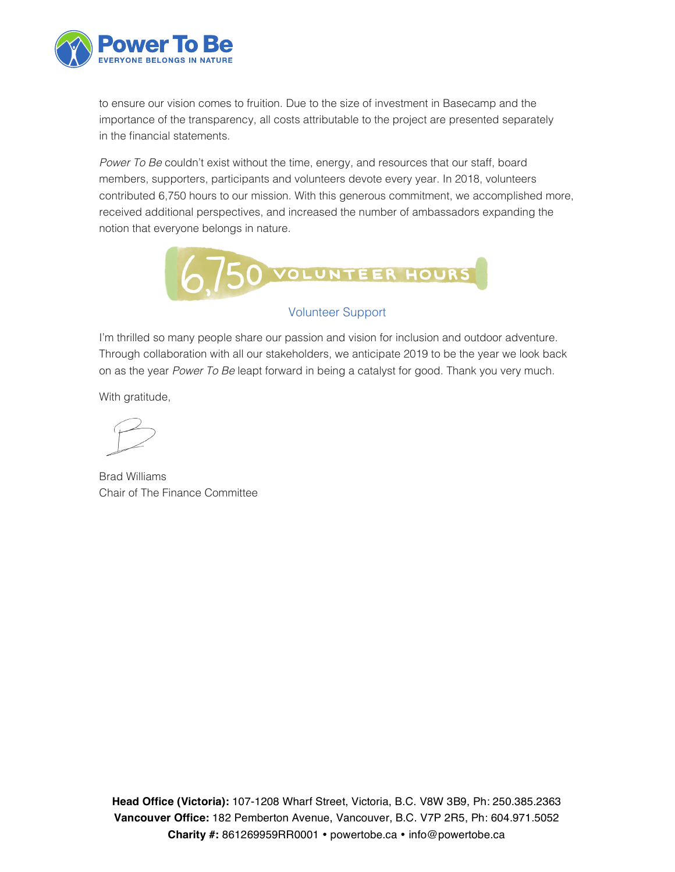

to ensure our vision comes to fruition. Due to the size of investment in Basecamp and the importance of the transparency, all costs attributable to the project are presented separately in the financial statements.

*Power To Be* couldn't exist without the time, energy, and resources that our staff, board members, supporters, participants and volunteers devote every year. In 2018, volunteers contributed 6,750 hours to our mission. With this generous commitment, we accomplished more, received additional perspectives, and increased the number of ambassadors expanding the notion that everyone belongs in nature.



### Volunteer Support

I'm thrilled so many people share our passion and vision for inclusion and outdoor adventure. Through collaboration with all our stakeholders, we anticipate 2019 to be the year we look back on as the year *Power To Be* leapt forward in being a catalyst for good. Thank you very much.

With gratitude,

Brad Williams Chair of The Finance Committee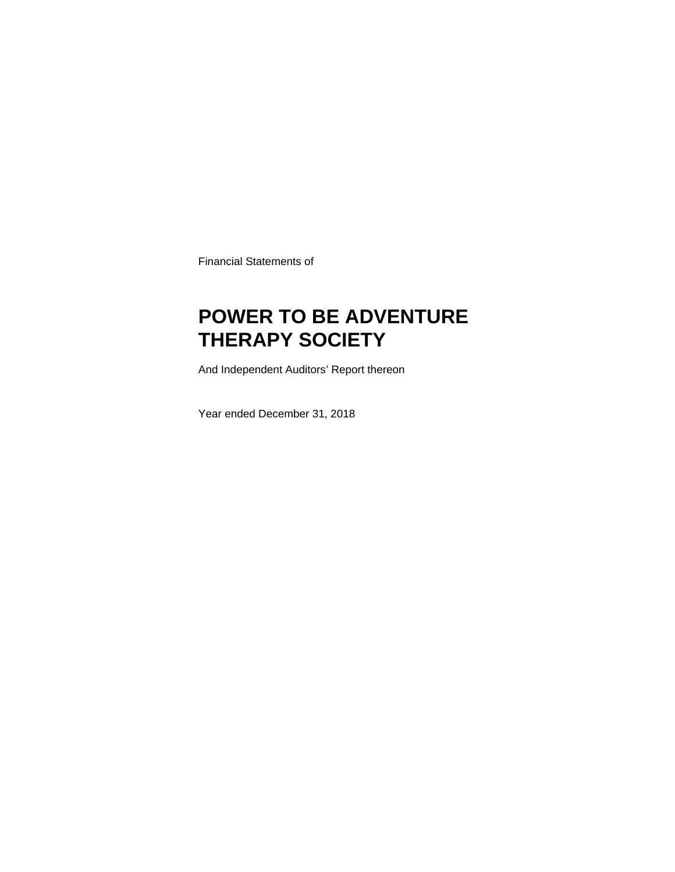Financial Statements of

# **POWER TO BE ADVENTURE THERAPY SOCIETY**

And Independent Auditors' Report thereon

Year ended December 31, 2018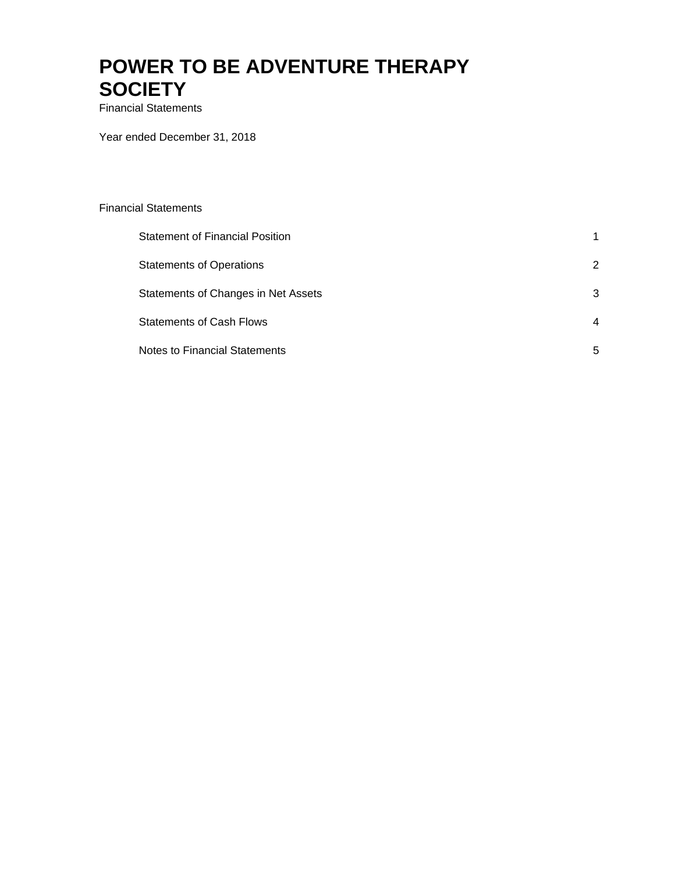Financial Statements

Year ended December 31, 2018

| <b>Financial Statements</b>            |                |
|----------------------------------------|----------------|
| <b>Statement of Financial Position</b> | 1              |
| <b>Statements of Operations</b>        | $\overline{2}$ |
| Statements of Changes in Net Assets    | 3              |
| <b>Statements of Cash Flows</b>        | 4              |
| <b>Notes to Financial Statements</b>   | 5              |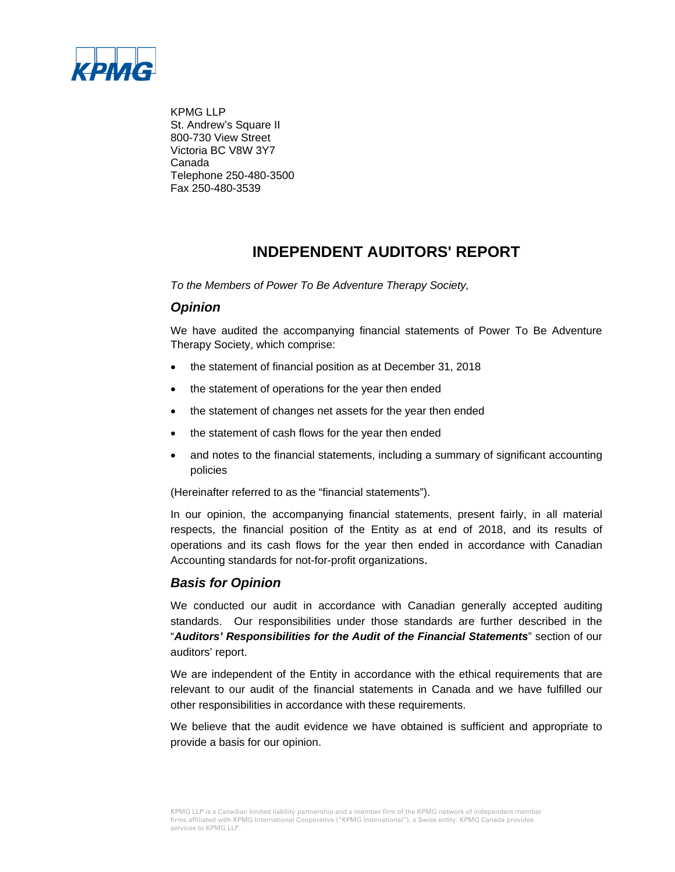

KPMG LLP St. Andrew's Square II 800-730 View Street Victoria BC V8W 3Y7 Canada Telephone 250-480-3500 Fax 250-480-3539

### **INDEPENDENT AUDITORS' REPORT**

*To the Members of Power To Be Adventure Therapy Society,*

### *Opinion*

We have audited the accompanying financial statements of Power To Be Adventure Therapy Society, which comprise:

- the statement of financial position as at December 31, 2018
- the statement of operations for the year then ended
- the statement of changes net assets for the year then ended
- the statement of cash flows for the year then ended
- and notes to the financial statements, including a summary of significant accounting policies

(Hereinafter referred to as the "financial statements").

In our opinion, the accompanying financial statements, present fairly, in all material respects, the financial position of the Entity as at end of 2018, and its results of operations and its cash flows for the year then ended in accordance with Canadian Accounting standards for not-for-profit organizations.

### *Basis for Opinion*

We conducted our audit in accordance with Canadian generally accepted auditing standards. Our responsibilities under those standards are further described in the "*Auditors' Responsibilities for the Audit of the Financial Statements*" section of our auditors' report.

We are independent of the Entity in accordance with the ethical requirements that are relevant to our audit of the financial statements in Canada and we have fulfilled our other responsibilities in accordance with these requirements.

We believe that the audit evidence we have obtained is sufficient and appropriate to provide a basis for our opinion.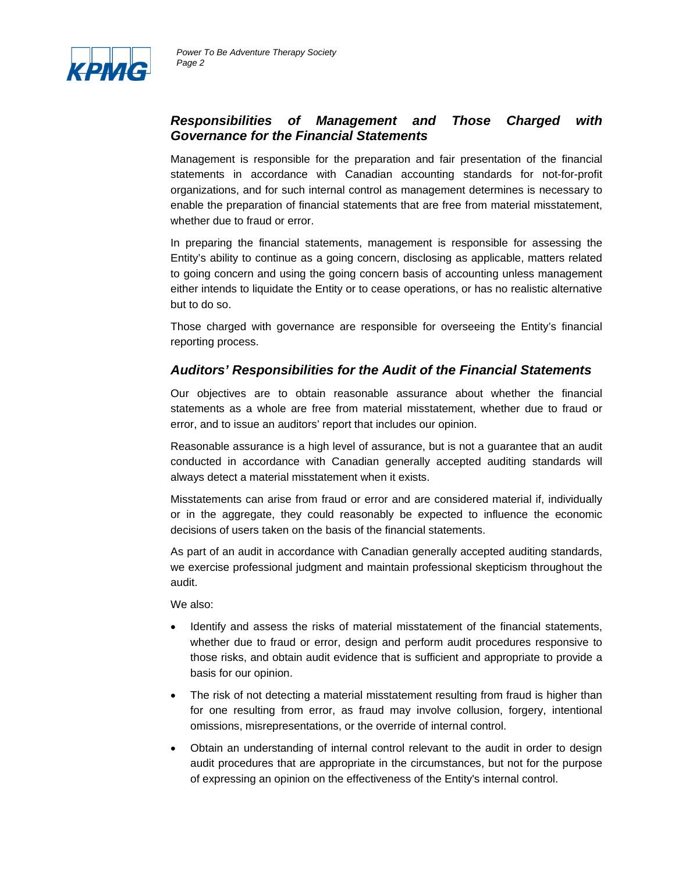

### *Responsibilities of Management and Those Charged with Governance for the Financial Statements*

Management is responsible for the preparation and fair presentation of the financial statements in accordance with Canadian accounting standards for not-for-profit organizations, and for such internal control as management determines is necessary to enable the preparation of financial statements that are free from material misstatement, whether due to fraud or error.

In preparing the financial statements, management is responsible for assessing the Entity's ability to continue as a going concern, disclosing as applicable, matters related to going concern and using the going concern basis of accounting unless management either intends to liquidate the Entity or to cease operations, or has no realistic alternative but to do so.

Those charged with governance are responsible for overseeing the Entity's financial reporting process.

### *Auditors' Responsibilities for the Audit of the Financial Statements*

Our objectives are to obtain reasonable assurance about whether the financial statements as a whole are free from material misstatement, whether due to fraud or error, and to issue an auditors' report that includes our opinion.

Reasonable assurance is a high level of assurance, but is not a guarantee that an audit conducted in accordance with Canadian generally accepted auditing standards will always detect a material misstatement when it exists.

Misstatements can arise from fraud or error and are considered material if, individually or in the aggregate, they could reasonably be expected to influence the economic decisions of users taken on the basis of the financial statements.

As part of an audit in accordance with Canadian generally accepted auditing standards, we exercise professional judgment and maintain professional skepticism throughout the audit.

We also:

- Identify and assess the risks of material misstatement of the financial statements, whether due to fraud or error, design and perform audit procedures responsive to those risks, and obtain audit evidence that is sufficient and appropriate to provide a basis for our opinion.
- The risk of not detecting a material misstatement resulting from fraud is higher than for one resulting from error, as fraud may involve collusion, forgery, intentional omissions, misrepresentations, or the override of internal control.
- Obtain an understanding of internal control relevant to the audit in order to design audit procedures that are appropriate in the circumstances, but not for the purpose of expressing an opinion on the effectiveness of the Entity's internal control.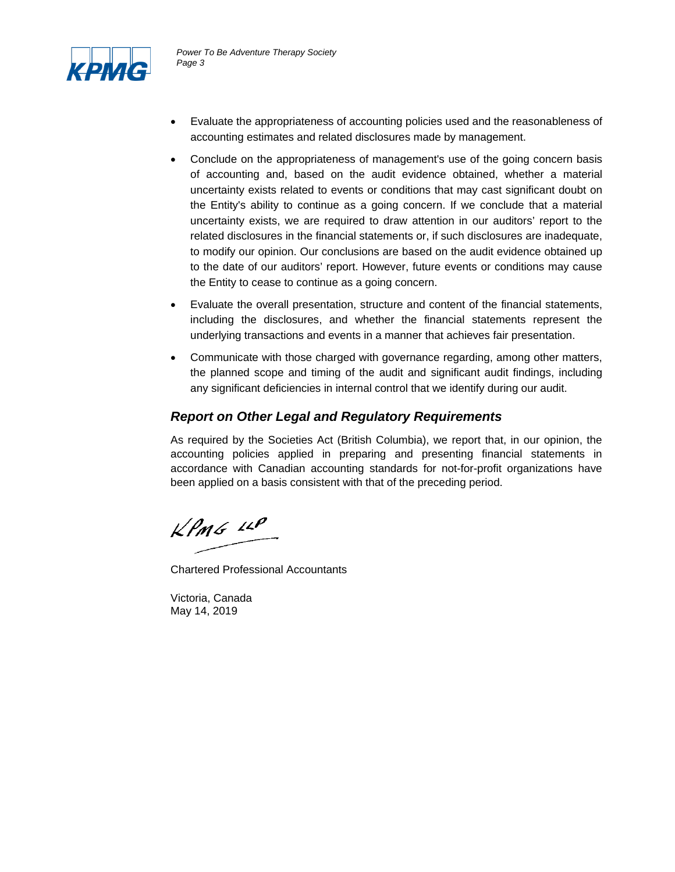

- Evaluate the appropriateness of accounting policies used and the reasonableness of accounting estimates and related disclosures made by management.
- Conclude on the appropriateness of management's use of the going concern basis of accounting and, based on the audit evidence obtained, whether a material uncertainty exists related to events or conditions that may cast significant doubt on the Entity's ability to continue as a going concern. If we conclude that a material uncertainty exists, we are required to draw attention in our auditors' report to the related disclosures in the financial statements or, if such disclosures are inadequate, to modify our opinion. Our conclusions are based on the audit evidence obtained up to the date of our auditors' report. However, future events or conditions may cause the Entity to cease to continue as a going concern.
- Evaluate the overall presentation, structure and content of the financial statements, including the disclosures, and whether the financial statements represent the underlying transactions and events in a manner that achieves fair presentation.
- Communicate with those charged with governance regarding, among other matters, the planned scope and timing of the audit and significant audit findings, including any significant deficiencies in internal control that we identify during our audit.

### *Report on Other Legal and Regulatory Requirements*

As required by the Societies Act (British Columbia), we report that, in our opinion, the accounting policies applied in preparing and presenting financial statements in accordance with Canadian accounting standards for not-for-profit organizations have been applied on a basis consistent with that of the preceding period.

 $k$ *PmG*  $\mu$ 

Chartered Professional Accountants

Victoria, Canada May 14, 2019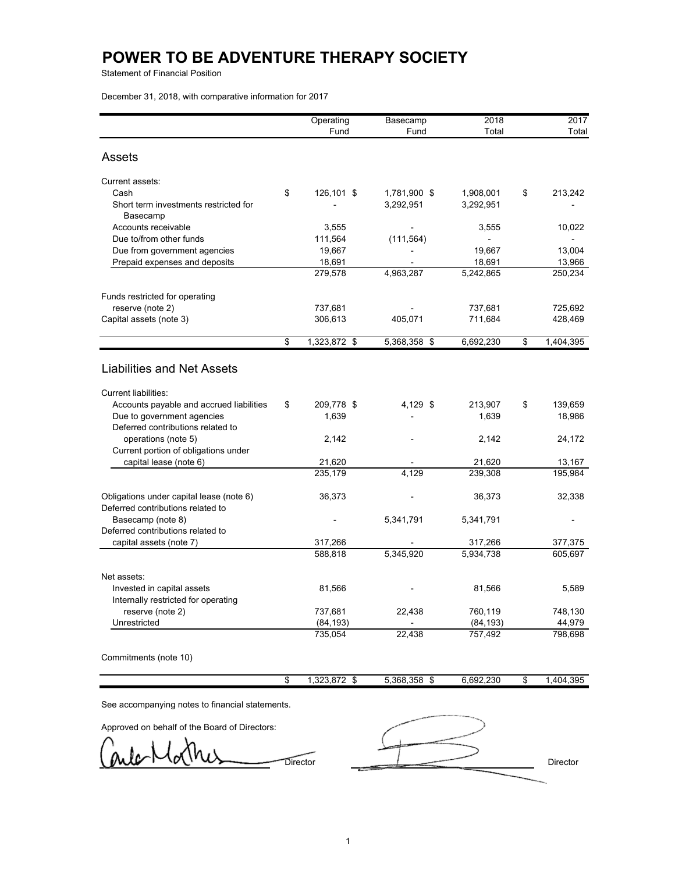Statement of Financial Position

December 31, 2018, with comparative information for 2017

|                                                   | Operating          | Basecamp     | 2018      | 2017            |
|---------------------------------------------------|--------------------|--------------|-----------|-----------------|
|                                                   | Fund               | Fund         | Total     | Total           |
|                                                   |                    |              |           |                 |
| Assets                                            |                    |              |           |                 |
| Current assets:                                   |                    |              |           |                 |
| Cash                                              | \$<br>126,101 \$   | 1,781,900 \$ | 1,908,001 | \$<br>213,242   |
| Short term investments restricted for<br>Basecamp |                    | 3,292,951    | 3,292,951 |                 |
| Accounts receivable                               | 3,555              |              | 3,555     | 10,022          |
| Due to/from other funds                           | 111,564            | (111, 564)   |           |                 |
| Due from government agencies                      | 19,667             |              | 19,667    | 13,004          |
| Prepaid expenses and deposits                     | 18,691             |              | 18,691    | 13,966          |
|                                                   | 279,578            | 4,963,287    | 5,242,865 | 250,234         |
| Funds restricted for operating                    |                    |              |           |                 |
| reserve (note 2)                                  | 737,681            |              | 737,681   | 725,692         |
| Capital assets (note 3)                           | 306,613            | 405,071      | 711,684   | 428,469         |
|                                                   | \$<br>1,323,872 \$ | 5,368,358 \$ | 6,692,230 | \$<br>1,404,395 |
| <b>Liabilities and Net Assets</b>                 |                    |              |           |                 |
| <b>Current liabilities:</b>                       |                    |              |           |                 |
| Accounts payable and accrued liabilities          | \$<br>209,778 \$   | 4,129 \$     | 213,907   | \$<br>139,659   |
| Due to government agencies                        | 1,639              |              | 1,639     | 18,986          |
| Deferred contributions related to                 |                    |              |           |                 |
| operations (note 5)                               | 2,142              |              | 2,142     | 24,172          |
| Current portion of obligations under              |                    |              |           |                 |
| capital lease (note 6)                            | 21,620             |              | 21,620    | 13,167          |
|                                                   | 235,179            | 4.129        | 239,308   | 195,984         |
| Obligations under capital lease (note 6)          | 36,373             |              | 36,373    | 32,338          |
| Deferred contributions related to                 |                    |              |           |                 |
| Basecamp (note 8)                                 |                    | 5,341,791    | 5,341,791 |                 |
| Deferred contributions related to                 |                    |              |           |                 |
| capital assets (note 7)                           | 317,266            |              | 317,266   | 377,375         |
|                                                   | 588,818            | 5,345,920    | 5,934,738 | 605,697         |
| Net assets:                                       |                    |              |           |                 |
| Invested in capital assets                        | 81,566             |              | 81,566    | 5,589           |
| Internally restricted for operating               |                    |              |           |                 |
| reserve (note 2)                                  | 737,681            | 22,438       | 760,119   | 748,130         |
| Unrestricted                                      | (84, 193)          |              | (84, 193) | 44,979          |
|                                                   | 735,054            | 22,438       | 757,492   | 798,698         |
| Commitments (note 10)                             |                    |              |           |                 |

|  | $\sim$<br>nnn.<br>m<br>0<br>. ১८১.০ /<br>٠n | 5.368.358 | $\sim$<br>٠D | 6.692.230 | +.395<br>404 |
|--|---------------------------------------------|-----------|--------------|-----------|--------------|
|  |                                             |           |              |           |              |

See accompanying notes to financial statements.

Approved on behalf of the Board of Directors:

lc

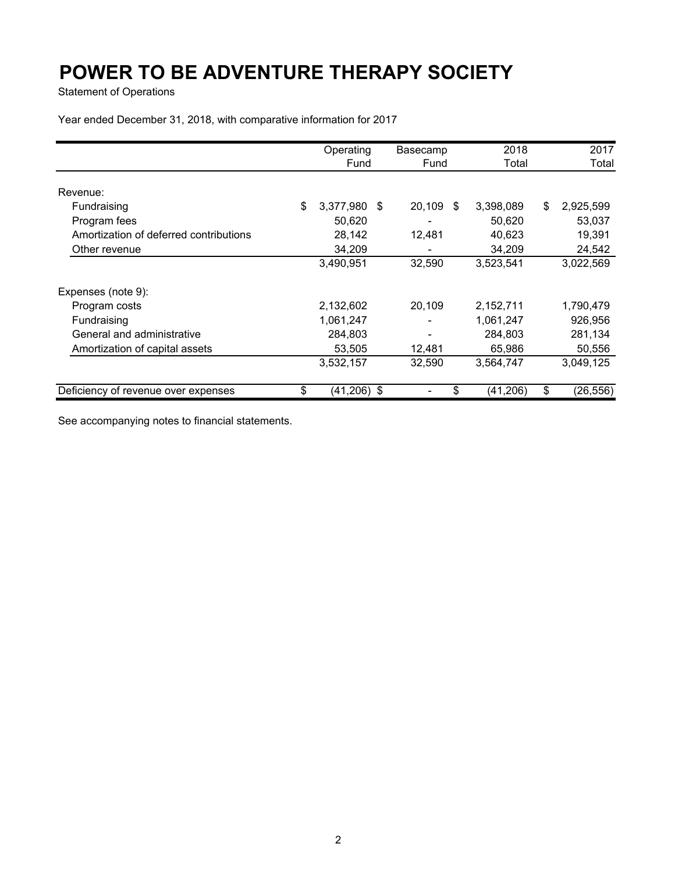Statement of Operations

Year ended December 31, 2018, with comparative information for 2017

|                                        | Operating |           |      | Basecamp |    | 2018      |    | 2017      |  |  |
|----------------------------------------|-----------|-----------|------|----------|----|-----------|----|-----------|--|--|
|                                        |           | Fund      |      | Fund     |    | Total     |    | Total     |  |  |
| Revenue:                               |           |           |      |          |    |           |    |           |  |  |
| Fundraising                            | \$        | 3,377,980 | - \$ | 20,109   | \$ | 3,398,089 | \$ | 2,925,599 |  |  |
| Program fees                           |           | 50,620    |      |          |    | 50,620    |    | 53,037    |  |  |
| Amortization of deferred contributions |           | 28,142    |      | 12,481   |    | 40,623    |    | 19,391    |  |  |
| Other revenue                          |           | 34,209    |      |          |    | 34,209    |    | 24,542    |  |  |
|                                        |           | 3,490,951 |      | 32,590   |    | 3,523,541 |    | 3,022,569 |  |  |
| Expenses (note 9):                     |           |           |      |          |    |           |    |           |  |  |
| Program costs                          |           | 2,132,602 |      | 20,109   |    | 2,152,711 |    | 1,790,479 |  |  |
| Fundraising                            |           | 1,061,247 |      |          |    | 1,061,247 |    | 926,956   |  |  |
| General and administrative             |           | 284,803   |      |          |    | 284,803   |    | 281,134   |  |  |
| Amortization of capital assets         |           | 53,505    |      | 12,481   |    | 65,986    |    | 50,556    |  |  |
|                                        |           | 3,532,157 |      | 32,590   |    | 3,564,747 |    | 3,049,125 |  |  |
| Deficiency of revenue over expenses    | \$        | (41, 206) | -\$  |          | \$ | (41, 206) | \$ | (26, 556) |  |  |

See accompanying notes to financial statements.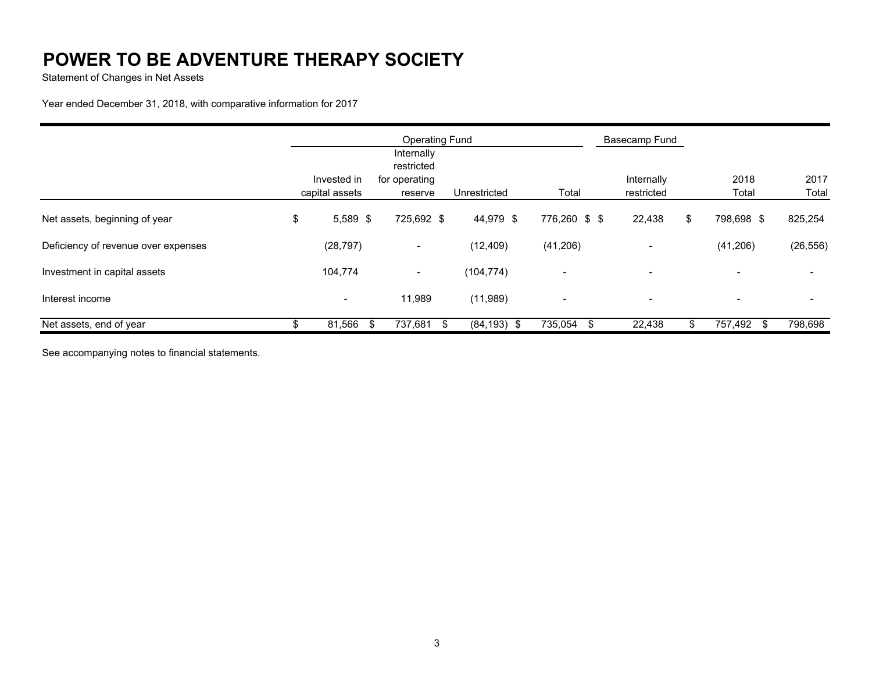Statement of Changes in Net Assets

Year ended December 31, 2018, with comparative information for 2017

|                                     | <b>Operating Fund</b> |    |                                           |                       |                          | Basecamp Fund |                          |           |
|-------------------------------------|-----------------------|----|-------------------------------------------|-----------------------|--------------------------|---------------|--------------------------|-----------|
|                                     | Invested in           |    | Internally<br>restricted<br>for operating |                       |                          | Internally    | 2018                     | 2017      |
|                                     | capital assets        |    | reserve                                   | Unrestricted          | Total                    | restricted    | Total                    | Total     |
| Net assets, beginning of year       | \$<br>$5,589$ \$      |    | 725,692 \$                                | 44,979 \$             | 776,260 \$ \$            | 22,438        | \$<br>798,698 \$         | 825,254   |
| Deficiency of revenue over expenses | (28, 797)             |    | $\blacksquare$                            | (12, 409)             | (41, 206)                |               | (41,206)                 | (26, 556) |
| Investment in capital assets        | 104,774               |    | $\blacksquare$                            | (104, 774)            | $\overline{\phantom{a}}$ |               | $\overline{\phantom{a}}$ |           |
| Interest income                     | $\blacksquare$        |    | 11,989                                    | (11,989)              | $\overline{\phantom{a}}$ |               | $\overline{\phantom{a}}$ |           |
| Net assets, end of year             | 81,566                | \$ | 737,681                                   | $(84, 193)$ \$<br>-\$ | 735,054<br>Ж,            | 22,438        | 757,492 \$               | 798,698   |

See accompanying notes to financial statements.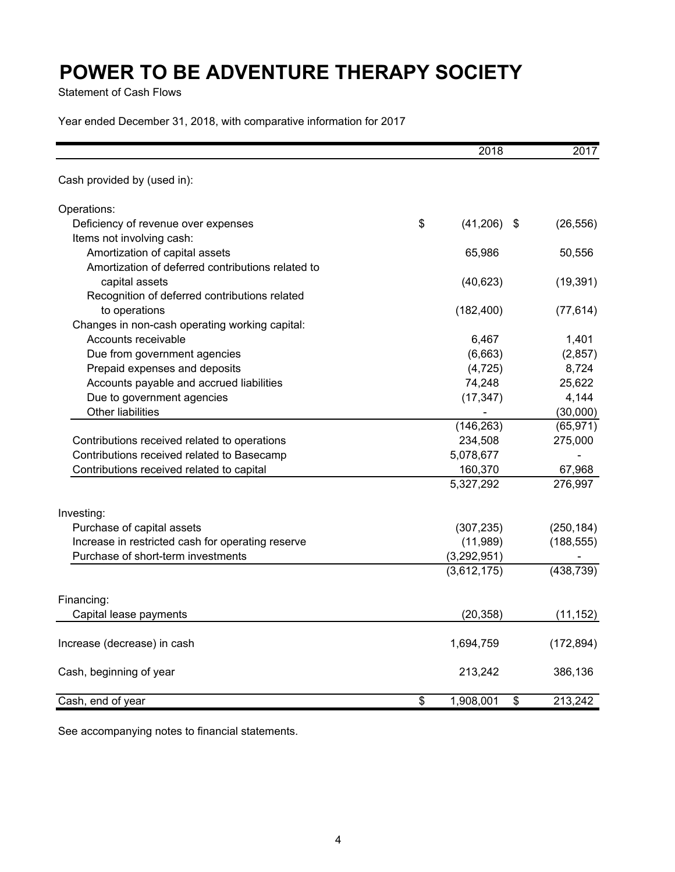Statement of Cash Flows

Year ended December 31, 2018, with comparative information for 2017

|                                                   | 2018                | 2017          |
|---------------------------------------------------|---------------------|---------------|
| Cash provided by (used in):                       |                     |               |
| Operations:                                       |                     |               |
| Deficiency of revenue over expenses               | \$<br>$(41,206)$ \$ | (26, 556)     |
| Items not involving cash:                         |                     |               |
| Amortization of capital assets                    | 65,986              | 50,556        |
| Amortization of deferred contributions related to |                     |               |
| capital assets                                    | (40, 623)           | (19, 391)     |
| Recognition of deferred contributions related     |                     |               |
| to operations                                     | (182, 400)          | (77, 614)     |
| Changes in non-cash operating working capital:    |                     |               |
| Accounts receivable                               | 6,467               | 1,401         |
| Due from government agencies                      | (6,663)             | (2, 857)      |
| Prepaid expenses and deposits                     | (4, 725)            | 8,724         |
| Accounts payable and accrued liabilities          | 74,248              | 25,622        |
| Due to government agencies                        | (17, 347)           | 4,144         |
| Other liabilities                                 |                     | (30,000)      |
|                                                   | (146, 263)          | (65, 971)     |
| Contributions received related to operations      | 234,508             | 275,000       |
| Contributions received related to Basecamp        | 5,078,677           |               |
| Contributions received related to capital         | 160,370             | 67,968        |
|                                                   | 5,327,292           | 276,997       |
| Investing:                                        |                     |               |
| Purchase of capital assets                        | (307, 235)          | (250, 184)    |
| Increase in restricted cash for operating reserve | (11,989)            | (188, 555)    |
| Purchase of short-term investments                | (3,292,951)         |               |
|                                                   | (3,612,175)         | (438, 739)    |
| Financing:                                        |                     |               |
| Capital lease payments                            | (20, 358)           | (11, 152)     |
|                                                   |                     |               |
| Increase (decrease) in cash                       | 1,694,759           | (172, 894)    |
| Cash, beginning of year                           | 213,242             | 386,136       |
| Cash, end of year                                 | \$<br>1,908,001     | \$<br>213,242 |

See accompanying notes to financial statements.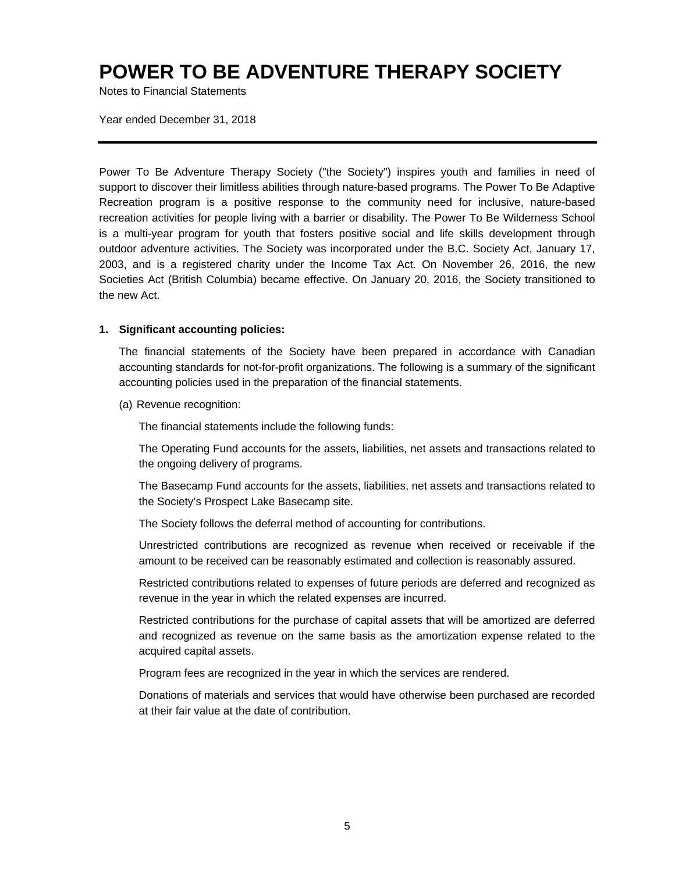Notes to Financial Statements

Year ended December 31, 2018

Power To Be Adventure Therapy Society ("the Society") inspires youth and families in need of support to discover their limitless abilities through nature-based programs. The Power To Be Adaptive Recreation program is a positive response to the community need for inclusive, nature-based recreation activities for people living with a barrier or disability. The Power To Be Wilderness School is a multi-year program for youth that fosters positive social and life skills development through outdoor adventure activities. The Society was incorporated under the B.C. Society Act, January 17, 2003, and is a registered charity under the Income Tax Act. On November 26, 2016, the new Societies Act (British Columbia) became effective. On January 20, 2016, the Society transitioned to the new Act.

### **1. Significant accounting policies:**

The financial statements of the Society have been prepared in accordance with Canadian accounting standards for not-for-profit organizations. The following is a summary of the significant accounting policies used in the preparation of the financial statements.

(a) Revenue recognition:

The financial statements include the following funds:

The Operating Fund accounts for the assets, liabilities, net assets and transactions related to the ongoing delivery of programs.

The Basecamp Fund accounts for the assets, liabilities, net assets and transactions related to the Society's Prospect Lake Basecamp site.

The Society follows the deferral method of accounting for contributions.

Unrestricted contributions are recognized as revenue when received or receivable if the amount to be received can be reasonably estimated and collection is reasonably assured.

Restricted contributions related to expenses of future periods are deferred and recognized as revenue in the year in which the related expenses are incurred.

Restricted contributions for the purchase of capital assets that will be amortized are deferred and recognized as revenue on the same basis as the amortization expense related to the acquired capital assets.

Program fees are recognized in the year in which the services are rendered.

Donations of materials and services that would have otherwise been purchased are recorded at their fair value at the date of contribution.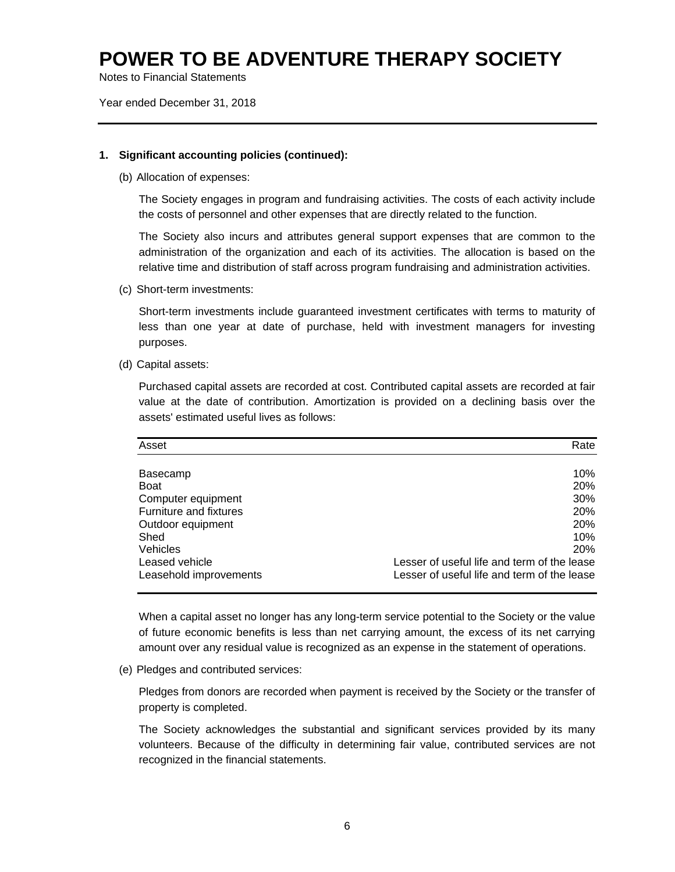Notes to Financial Statements

Year ended December 31, 2018

### **1. Significant accounting policies (continued):**

(b) Allocation of expenses:

The Society engages in program and fundraising activities. The costs of each activity include the costs of personnel and other expenses that are directly related to the function.

The Society also incurs and attributes general support expenses that are common to the administration of the organization and each of its activities. The allocation is based on the relative time and distribution of staff across program fundraising and administration activities.

(c) Short-term investments:

Short-term investments include guaranteed investment certificates with terms to maturity of less than one year at date of purchase, held with investment managers for investing purposes.

(d) Capital assets:

Purchased capital assets are recorded at cost. Contributed capital assets are recorded at fair value at the date of contribution. Amortization is provided on a declining basis over the assets' estimated useful lives as follows:

| Asset                  | Rate                                        |
|------------------------|---------------------------------------------|
|                        |                                             |
| Basecamp               | 10%                                         |
| <b>Boat</b>            | 20%                                         |
| Computer equipment     | 30%                                         |
| Furniture and fixtures | 20%                                         |
| Outdoor equipment      | 20%                                         |
| Shed                   | 10%                                         |
| Vehicles               | 20%                                         |
| Leased vehicle         | Lesser of useful life and term of the lease |
| Leasehold improvements | Lesser of useful life and term of the lease |

When a capital asset no longer has any long-term service potential to the Society or the value of future economic benefits is less than net carrying amount, the excess of its net carrying amount over any residual value is recognized as an expense in the statement of operations.

(e) Pledges and contributed services:

Pledges from donors are recorded when payment is received by the Society or the transfer of property is completed.

The Society acknowledges the substantial and significant services provided by its many volunteers. Because of the difficulty in determining fair value, contributed services are not recognized in the financial statements.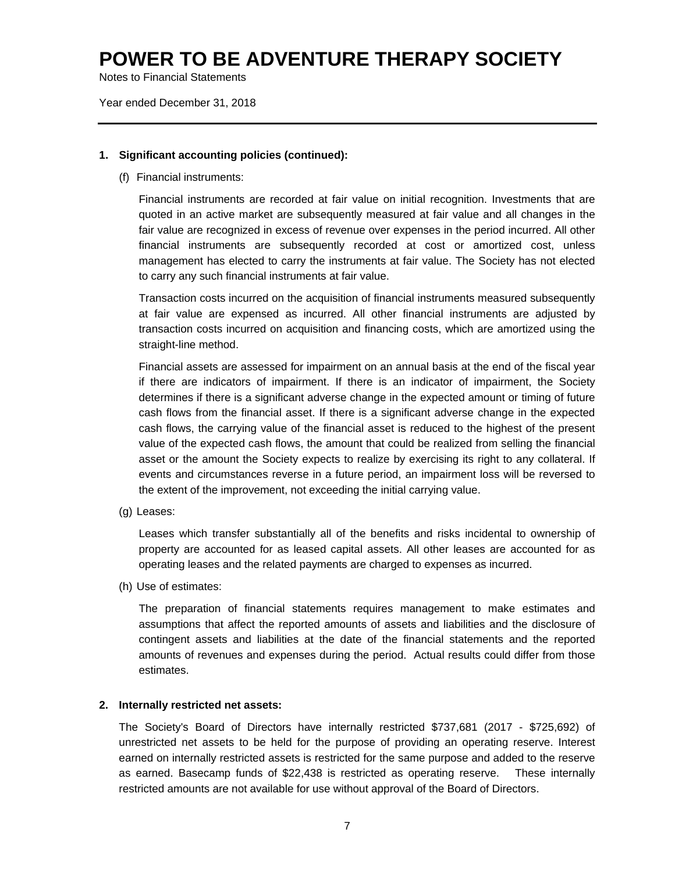Notes to Financial Statements

Year ended December 31, 2018

### **1. Significant accounting policies (continued):**

(f) Financial instruments:

Financial instruments are recorded at fair value on initial recognition. Investments that are quoted in an active market are subsequently measured at fair value and all changes in the fair value are recognized in excess of revenue over expenses in the period incurred. All other financial instruments are subsequently recorded at cost or amortized cost, unless management has elected to carry the instruments at fair value. The Society has not elected to carry any such financial instruments at fair value.

Transaction costs incurred on the acquisition of financial instruments measured subsequently at fair value are expensed as incurred. All other financial instruments are adjusted by transaction costs incurred on acquisition and financing costs, which are amortized using the straight-line method.

Financial assets are assessed for impairment on an annual basis at the end of the fiscal year if there are indicators of impairment. If there is an indicator of impairment, the Society determines if there is a significant adverse change in the expected amount or timing of future cash flows from the financial asset. If there is a significant adverse change in the expected cash flows, the carrying value of the financial asset is reduced to the highest of the present value of the expected cash flows, the amount that could be realized from selling the financial asset or the amount the Society expects to realize by exercising its right to any collateral. If events and circumstances reverse in a future period, an impairment loss will be reversed to the extent of the improvement, not exceeding the initial carrying value.

(g) Leases:

Leases which transfer substantially all of the benefits and risks incidental to ownership of property are accounted for as leased capital assets. All other leases are accounted for as operating leases and the related payments are charged to expenses as incurred.

(h) Use of estimates:

The preparation of financial statements requires management to make estimates and assumptions that affect the reported amounts of assets and liabilities and the disclosure of contingent assets and liabilities at the date of the financial statements and the reported amounts of revenues and expenses during the period. Actual results could differ from those estimates.

#### **2. Internally restricted net assets:**

The Society's Board of Directors have internally restricted \$737,681 (2017 - \$725,692) of unrestricted net assets to be held for the purpose of providing an operating reserve. Interest earned on internally restricted assets is restricted for the same purpose and added to the reserve as earned. Basecamp funds of \$22,438 is restricted as operating reserve. These internally restricted amounts are not available for use without approval of the Board of Directors.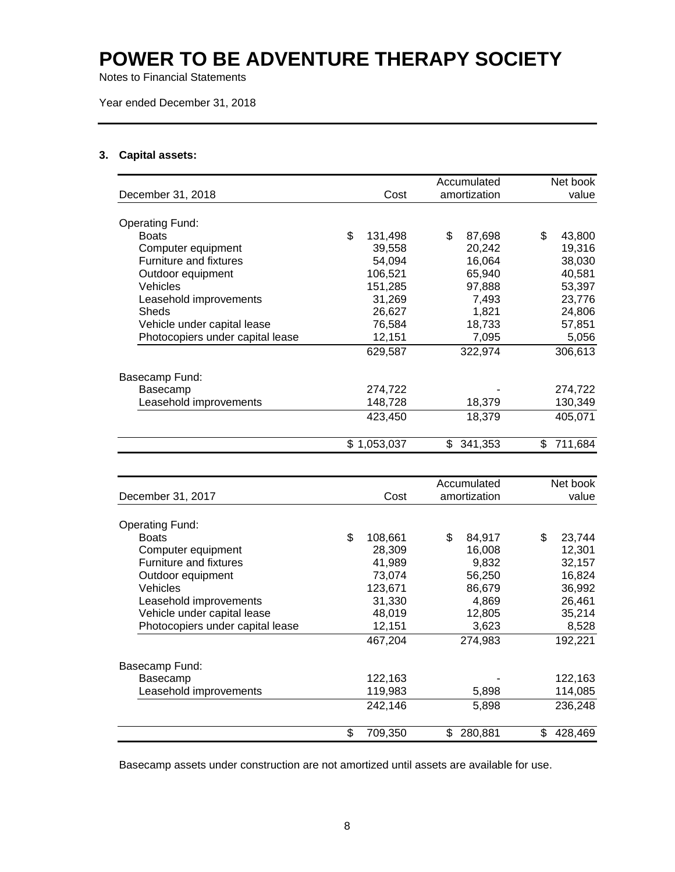Notes to Financial Statements

Year ended December 31, 2018

### **3. Capital assets:**

|                                  |               |     | Accumulated  | Net book      |
|----------------------------------|---------------|-----|--------------|---------------|
| December 31, 2018                | Cost          |     | amortization | value         |
|                                  |               |     |              |               |
| <b>Operating Fund:</b>           |               |     |              |               |
| <b>Boats</b>                     | \$<br>131,498 | \$  | 87,698       | \$<br>43,800  |
| Computer equipment               | 39,558        |     | 20,242       | 19,316        |
| Furniture and fixtures           | 54,094        |     | 16,064       | 38,030        |
| Outdoor equipment                | 106,521       |     | 65,940       | 40,581        |
| Vehicles                         | 151,285       |     | 97,888       | 53,397        |
| Leasehold improvements           | 31,269        |     | 7,493        | 23,776        |
| Sheds                            | 26,627        |     | 1,821        | 24,806        |
| Vehicle under capital lease      | 76,584        |     | 18,733       | 57,851        |
| Photocopiers under capital lease | 12,151        |     | 7,095        | 5,056         |
|                                  | 629,587       |     | 322,974      | 306,613       |
| Basecamp Fund:                   |               |     |              |               |
| Basecamp                         | 274,722       |     |              | 274,722       |
| Leasehold improvements           | 148,728       |     | 18,379       | 130,349       |
|                                  | 423,450       |     | 18,379       | 405,071       |
|                                  | \$1,053,037   | \$. | 341,353      | \$<br>711,684 |

| December 31, 2017                | Cost          | Accumulated<br>amortization | Net book<br>value |
|----------------------------------|---------------|-----------------------------|-------------------|
|                                  |               |                             |                   |
| <b>Operating Fund:</b>           |               |                             |                   |
| <b>Boats</b>                     | \$<br>108,661 | \$<br>84,917                | \$<br>23,744      |
| Computer equipment               | 28,309        | 16.008                      | 12,301            |
| <b>Furniture and fixtures</b>    | 41,989        | 9,832                       | 32,157            |
| Outdoor equipment                | 73.074        | 56,250                      | 16,824            |
| Vehicles                         | 123,671       | 86,679                      | 36,992            |
| Leasehold improvements           | 31,330        | 4,869                       | 26,461            |
| Vehicle under capital lease      | 48,019        | 12,805                      | 35,214            |
| Photocopiers under capital lease | 12,151        | 3,623                       | 8,528             |
|                                  | 467,204       | 274.983                     | 192,221           |
| Basecamp Fund:                   |               |                             |                   |
| Basecamp                         | 122,163       |                             | 122,163           |
| Leasehold improvements           | 119,983       | 5,898                       | 114,085           |
|                                  | 242,146       | 5,898                       | 236,248           |
|                                  | \$<br>709,350 | 280,881<br>\$               | 428,469<br>\$     |

Basecamp assets under construction are not amortized until assets are available for use.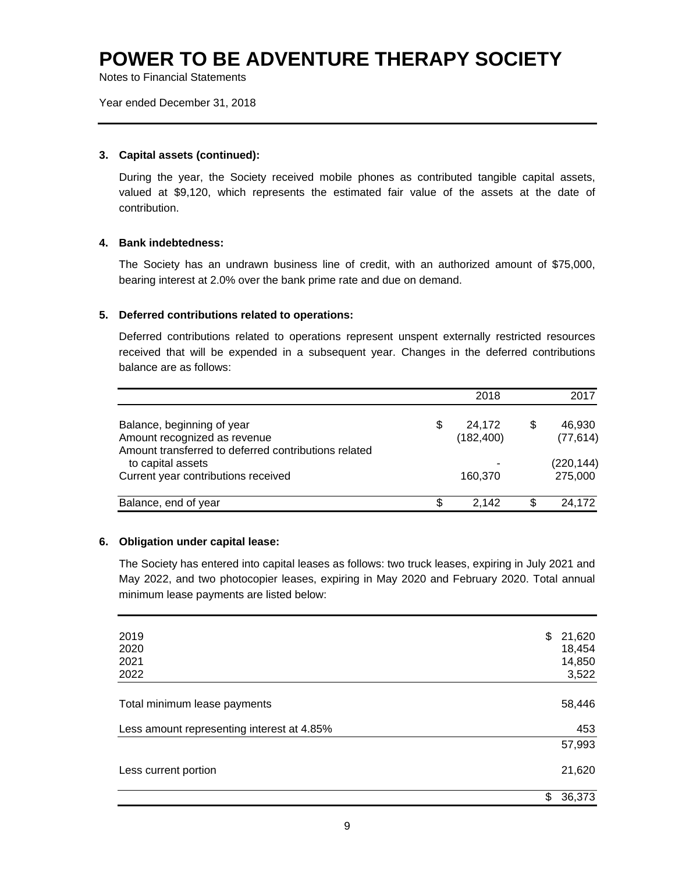Notes to Financial Statements

Year ended December 31, 2018

### **3. Capital assets (continued):**

During the year, the Society received mobile phones as contributed tangible capital assets, valued at \$9,120, which represents the estimated fair value of the assets at the date of contribution.

### **4. Bank indebtedness:**

The Society has an undrawn business line of credit, with an authorized amount of \$75,000, bearing interest at 2.0% over the bank prime rate and due on demand.

### **5. Deferred contributions related to operations:**

Deferred contributions related to operations represent unspent externally restricted resources received that will be expended in a subsequent year. Changes in the deferred contributions balance are as follows:

|                                                                                                                    | 2018                       |   | 2017                  |
|--------------------------------------------------------------------------------------------------------------------|----------------------------|---|-----------------------|
| Balance, beginning of year<br>Amount recognized as revenue<br>Amount transferred to deferred contributions related | \$<br>24,172<br>(182, 400) | S | 46,930<br>(77, 614)   |
| to capital assets<br>Current year contributions received                                                           | 160,370                    |   | (220, 144)<br>275,000 |
| Balance, end of year                                                                                               | \$<br>2.142                | S | 24,172                |

### **6. Obligation under capital lease:**

The Society has entered into capital leases as follows: two truck leases, expiring in July 2021 and May 2022, and two photocopier leases, expiring in May 2020 and February 2020. Total annual minimum lease payments are listed below:

| 2019                                       | \$<br>21,620 |
|--------------------------------------------|--------------|
| 2020                                       | 18,454       |
| 2021                                       | 14,850       |
| 2022                                       | 3,522        |
|                                            |              |
| Total minimum lease payments               | 58,446       |
| Less amount representing interest at 4.85% | 453          |
|                                            | 57,993       |
| Less current portion                       | 21,620       |
|                                            | \$<br>36,373 |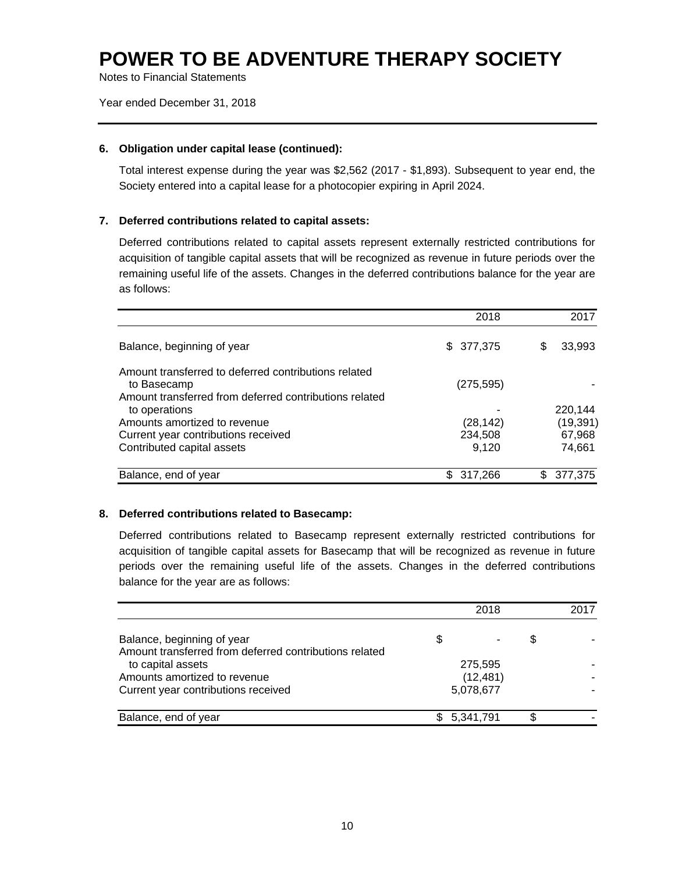Notes to Financial Statements

Year ended December 31, 2018

### **6. Obligation under capital lease (continued):**

Total interest expense during the year was \$2,562 (2017 - \$1,893). Subsequent to year end, the Society entered into a capital lease for a photocopier expiring in April 2024.

### **7. Deferred contributions related to capital assets:**

Deferred contributions related to capital assets represent externally restricted contributions for acquisition of tangible capital assets that will be recognized as revenue in future periods over the remaining useful life of the assets. Changes in the deferred contributions balance for the year are as follows:

|                                                                                                                               | 2018           | 2017          |
|-------------------------------------------------------------------------------------------------------------------------------|----------------|---------------|
| Balance, beginning of year                                                                                                    | \$ 377,375     | 33,993<br>S   |
| Amount transferred to deferred contributions related<br>to Basecamp<br>Amount transferred from deferred contributions related | (275, 595)     |               |
| to operations                                                                                                                 |                | 220.144       |
| Amounts amortized to revenue                                                                                                  | (28, 142)      | (19, 391)     |
| Current year contributions received                                                                                           | 234,508        | 67,968        |
| Contributed capital assets                                                                                                    | 9.120          | 74,661        |
| Balance, end of year                                                                                                          | 317,266<br>\$. | 377,375<br>S. |

### **8. Deferred contributions related to Basecamp:**

Deferred contributions related to Basecamp represent externally restricted contributions for acquisition of tangible capital assets for Basecamp that will be recognized as revenue in future periods over the remaining useful life of the assets. Changes in the deferred contributions balance for the year are as follows:

|                                                                                      | 2018            |    | 2017 |
|--------------------------------------------------------------------------------------|-----------------|----|------|
| Balance, beginning of year<br>Amount transferred from deferred contributions related | \$              | 35 |      |
| to capital assets                                                                    | 275,595         |    |      |
| Amounts amortized to revenue                                                         | (12, 481)       |    |      |
| Current year contributions received                                                  | 5,078,677       |    |      |
| Balance, end of year                                                                 | \$<br>5,341,791 |    |      |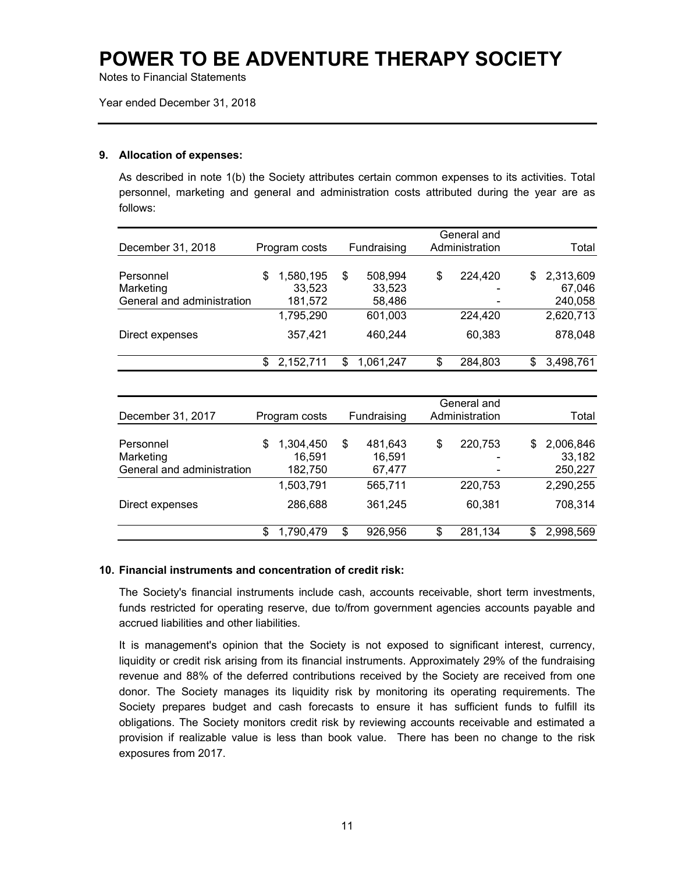Notes to Financial Statements

Year ended December 31, 2018

### **9. Allocation of expenses:**

As described in note 1(b) the Society attributes certain common expenses to its activities. Total personnel, marketing and general and administration costs attributed during the year are as follows:

|                            |                 |                 | General and    |                 |
|----------------------------|-----------------|-----------------|----------------|-----------------|
| December 31, 2018          | Program costs   | Fundraising     | Administration | Total           |
|                            |                 |                 |                |                 |
| Personnel                  | \$<br>1,580,195 | \$<br>508,994   | \$<br>224,420  | \$<br>2,313,609 |
| Marketing                  | 33,523          | 33,523          |                | 67,046          |
| General and administration | 181,572         | 58,486          |                | 240,058         |
|                            | 1,795,290       | 601,003         | 224,420        | 2,620,713       |
| Direct expenses            | 357,421         | 460,244         | 60,383         | 878,048         |
|                            | \$<br>2,152,711 | \$<br>1,061,247 | \$<br>284,803  | \$<br>3,498,761 |
|                            |                 |                 |                |                 |
|                            |                 |                 | General and    |                 |
| December 31, 2017          | Program costs   | Fundraising     | Administration | Total           |
| Personnel                  | \$<br>1,304,450 | \$<br>481,643   | \$<br>220,753  | \$<br>2,006,846 |
| Marketing                  | 16,591          | 16,591          |                | 33,182          |
| General and administration | 182,750         | 67,477          |                | 250,227         |
|                            | 1,503,791       | 565,711         | 220,753        | 2,290,255       |
| Direct expenses            | 286,688         | 361,245         | 60,381         | 708,314         |
|                            | \$<br>1,790,479 | \$<br>926,956   | \$<br>281,134  | \$<br>2,998,569 |

### **10. Financial instruments and concentration of credit risk:**

The Society's financial instruments include cash, accounts receivable, short term investments, funds restricted for operating reserve, due to/from government agencies accounts payable and accrued liabilities and other liabilities.

It is management's opinion that the Society is not exposed to significant interest, currency, liquidity or credit risk arising from its financial instruments. Approximately 29% of the fundraising revenue and 88% of the deferred contributions received by the Society are received from one donor. The Society manages its liquidity risk by monitoring its operating requirements. The Society prepares budget and cash forecasts to ensure it has sufficient funds to fulfill its obligations. The Society monitors credit risk by reviewing accounts receivable and estimated a provision if realizable value is less than book value. There has been no change to the risk exposures from 2017.